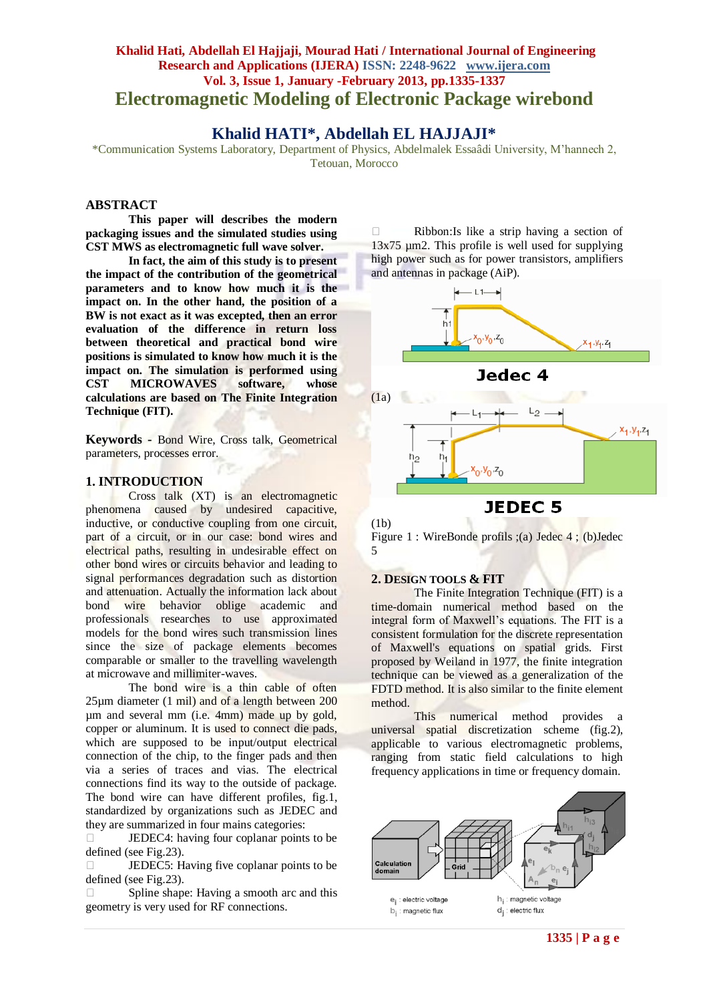## **Khalid Hati, Abdellah El Hajjaji, Mourad Hati / International Journal of Engineering Research and Applications (IJERA) ISSN: 2248-9622 www.ijera.com Vol. 3, Issue 1, January -February 2013, pp.1335-1337 Electromagnetic Modeling of Electronic Package wirebond**

# **Khalid HATI\*, Abdellah EL HAJJAJI\***

\*Communication Systems Laboratory, Department of Physics, Abdelmalek Essaâdi University, M'hannech 2, Tetouan, Morocco

## **ABSTRACT**

**This paper will describes the modern packaging issues and the simulated studies using CST MWS as electromagnetic full wave solver.**

**In fact, the aim of this study is to present the impact of the contribution of the geometrical parameters and to know how much it is the impact on. In the other hand, the position of a BW is not exact as it was excepted, then an error evaluation of the difference in return loss between theoretical and practical bond wire positions is simulated to know how much it is the impact on. The simulation is performed using CST MICROWAVES software, whose calculations are based on The Finite Integration Technique (FIT).** 

**Keywords -** Bond Wire, Cross talk, Geometrical parameters, processes error.

#### **1. INTRODUCTION**

Cross talk (XT) is an electromagnetic phenomena caused by undesired capacitive, inductive, or conductive coupling from one circuit, part of a circuit, or in our case: bond wires and electrical paths, resulting in undesirable effect on other bond wires or circuits behavior and leading to signal performances degradation such as distortion and attenuation. Actually the information lack about bond wire behavior oblige academic and professionals researches to use approximated models for the bond wires such transmission lines since the size of package elements becomes comparable or smaller to the travelling wavelength at microwave and millimiter-waves.

The bond wire is a thin cable of often 25µm diameter (1 mil) and of a length between 200 µm and several mm (i.e. 4mm) made up by gold, copper or aluminum. It is used to connect die pads, which are supposed to be input/output electrical connection of the chip, to the finger pads and then via a series of traces and vias. The electrical connections find its way to the outside of package. The bond wire can have different profiles, fig.1, standardized by organizations such as JEDEC and they are summarized in four mains categories:

 $\Box$  JEDEC4: having four coplanar points to be defined (see Fig.23).

**JEDEC5:** Having five coplanar points to be defined (see Fig.23).

 $\Box$  Spline shape: Having a smooth arc and this geometry is very used for RF connections.

 $\Box$  Ribbon: Is like a strip having a section of  $13x75 \mu m$ 2. This profile is well used for supplying high power such as for power transistors, amplifiers and antennas in package (AiP).





(1b) Figure 1 : WireBonde profils ;(a) Jedec 4 ; (b)Jedec 5

## **2. DESIGN TOOLS & FIT**

The Finite Integration Technique (FIT) is a time-domain numerical method based on the integral form of Maxwell's equations. The FIT is a consistent formulation for the discrete representation of Maxwell's equations on spatial grids. First proposed by Weiland in 1977, the finite integration technique can be viewed as a generalization of the FDTD method. It is also similar to the finite element method.

This numerical method provides a universal spatial discretization scheme (fig.2), applicable to various electromagnetic problems, ranging from static field calculations to high frequency applications in time or frequency domain.

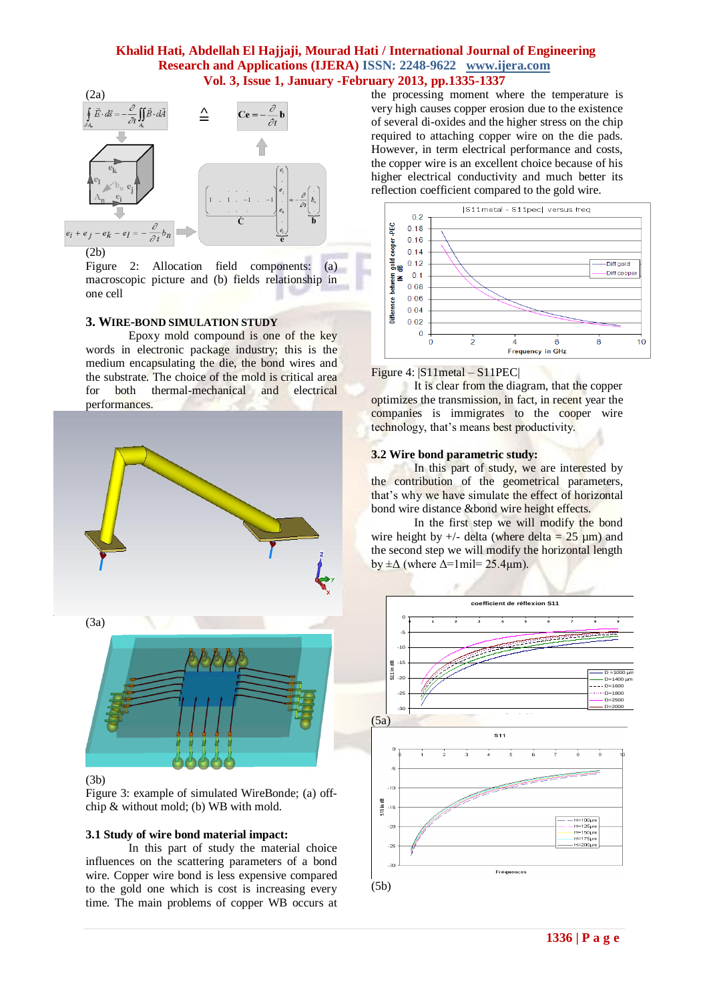## **Khalid Hati, Abdellah El Hajjaji, Mourad Hati / International Journal of Engineering Research and Applications (IJERA) ISSN: 2248-9622 www.ijera.com Vol. 3, Issue 1, January -February 2013, pp.1335-1337**



(2b)

Figure 2: Allocation field components: (a) macroscopic picture and (b) fields relationship in one cell

## **3. WIRE-BOND SIMULATION STUDY**

Epoxy mold compound is one of the key words in electronic package industry; this is the medium encapsulating the die, the bond wires and the substrate. The choice of the mold is critical area for both thermal-mechanical and electrical performances.



#### (3b)

Figure 3: example of simulated WireBonde; (a) offchip & without mold; (b) WB with mold.

#### **3.1 Study of wire bond material impact:**

In this part of study the material choice influences on the scattering parameters of a bond wire. Copper wire bond is less expensive compared to the gold one which is cost is increasing every time. The main problems of copper WB occurs at the processing moment where the temperature is very high causes copper erosion due to the existence of several di-oxides and the higher stress on the chip required to attaching copper wire on the die pads. However, in term electrical performance and costs, the copper wire is an excellent choice because of his higher electrical conductivity and much better its reflection coefficient compared to the gold wire.



#### Figure 4: |S11metal – S11PEC|

It is clear from the diagram, that the copper optimizes the transmission, in fact, in recent year the companies is immigrates to the cooper wire technology, that's means best productivity.

#### **3.2 Wire bond parametric study:**

In this part of study, we are interested by the contribution of the geometrical parameters, that's why we have simulate the effect of horizontal bond wire distance &bond wire height effects.

In the first step we will modify the bond wire height by  $+/-$  delta (where delta = 25  $\mu$ m) and the second step we will modify the horizontal length by  $\pm\Delta$  (where  $\Delta$ =1mil= 25.4 $\mu$ m).